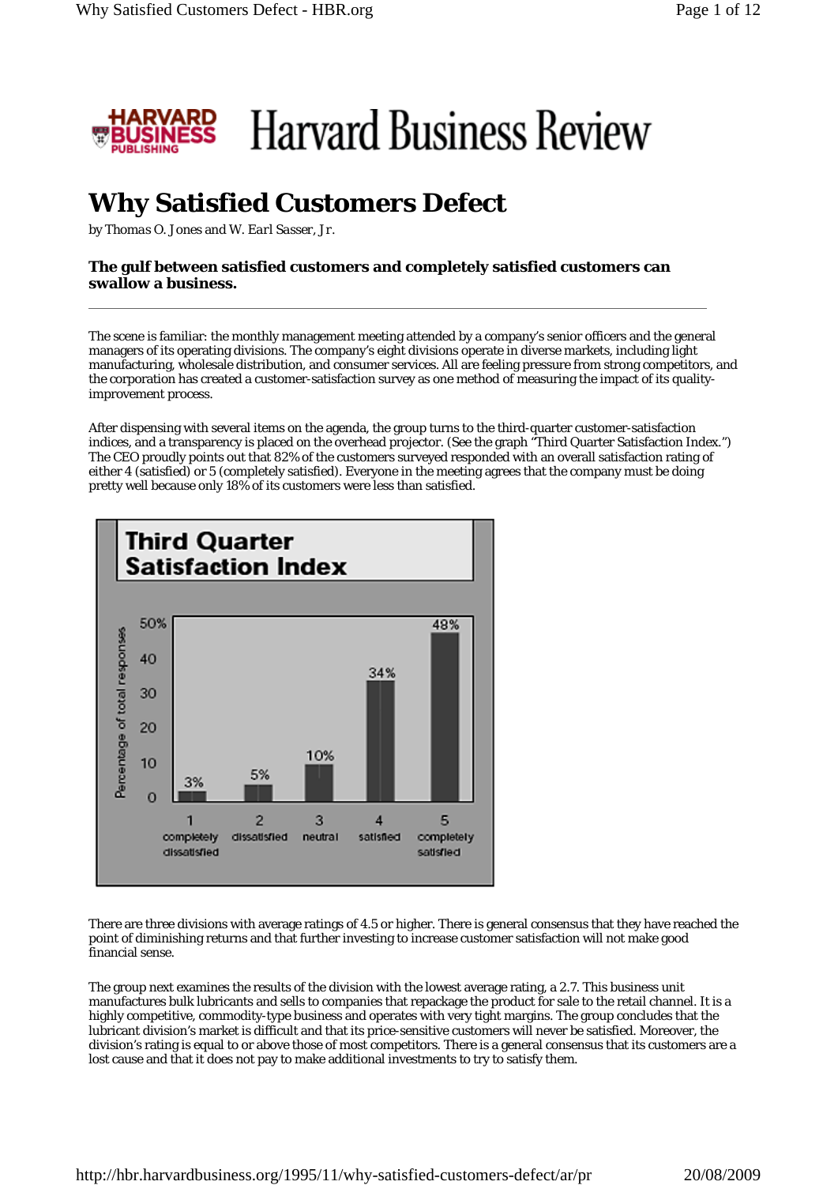



## **Why Satisfied Customers Defect**

by *Thomas O. Jones* and *W. Earl Sasser, Jr.*

#### **The gulf between satisfied customers and completely satisfied customers can swallow a business.**

The scene is familiar: the monthly management meeting attended by a company's senior officers and the general managers of its operating divisions. The company's eight divisions operate in diverse markets, including light manufacturing, wholesale distribution, and consumer services. All are feeling pressure from strong competitors, and the corporation has created a customer-satisfaction survey as one method of measuring the impact of its qualityimprovement process.

After dispensing with several items on the agenda, the group turns to the third-quarter customer-satisfaction indices, and a transparency is placed on the overhead projector. (See the graph "Third Quarter Satisfaction Index.") The CEO proudly points out that 82% of the customers surveyed responded with an overall satisfaction rating of either 4 (satisfied) or 5 (completely satisfied). Everyone in the meeting agrees that the company must be doing pretty well because only 18% of its customers were less than satisfied.



There are three divisions with average ratings of 4.5 or higher. There is general consensus that they have reached the point of diminishing returns and that further investing to increase customer satisfaction will not make good financial sense.

The group next examines the results of the division with the lowest average rating, a 2.7. This business unit manufactures bulk lubricants and sells to companies that repackage the product for sale to the retail channel. It is a highly competitive, commodity-type business and operates with very tight margins. The group concludes that the lubricant division's market is difficult and that its price-sensitive customers will never be satisfied. Moreover, the division's rating is equal to or above those of most competitors. There is a general consensus that its customers are a lost cause and that it does not pay to make additional investments to try to satisfy them.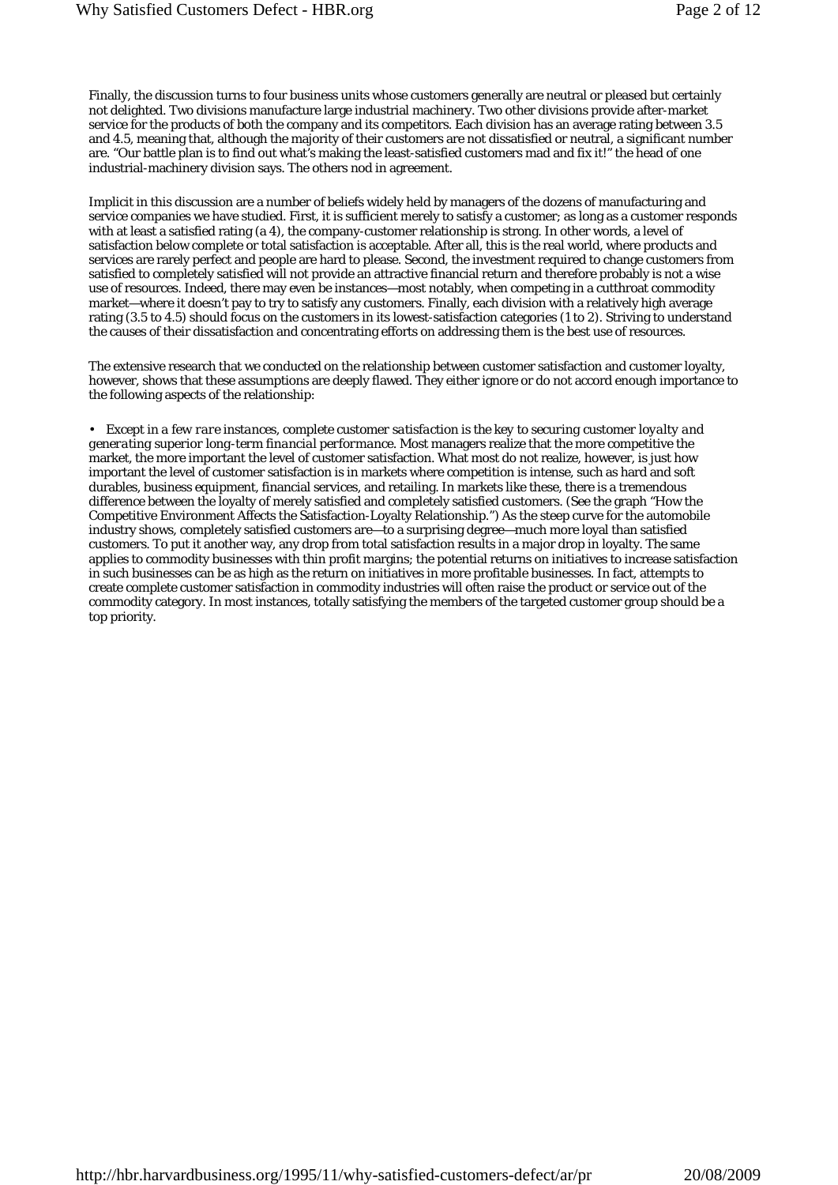Finally, the discussion turns to four business units whose customers generally are neutral or pleased but certainly not delighted. Two divisions manufacture large industrial machinery. Two other divisions provide after-market service for the products of both the company and its competitors. Each division has an average rating between 3.5 and 4.5, meaning that, although the majority of their customers are not dissatisfied or neutral, a significant number are. "Our battle plan is to find out what's making the least-satisfied customers mad and fix it!" the head of one industrial-machinery division says. The others nod in agreement.

Implicit in this discussion are a number of beliefs widely held by managers of the dozens of manufacturing and service companies we have studied. First, it is sufficient merely to satisfy a customer; as long as a customer responds with at least a satisfied rating (a 4), the company-customer relationship is strong. In other words, a level of satisfaction below complete or total satisfaction is acceptable. After all, this is the real world, where products and services are rarely perfect and people are hard to please. Second, the investment required to change customers from satisfied to completely satisfied will not provide an attractive financial return and therefore probably is not a wise use of resources. Indeed, there may even be instances—most notably, when competing in a cutthroat commodity market—where it doesn't pay to try to satisfy any customers. Finally, each division with a relatively high average rating (3.5 to 4.5) should focus on the customers in its lowest-satisfaction categories (1 to 2). Striving to understand the causes of their dissatisfaction and concentrating efforts on addressing them is the best use of resources.

The extensive research that we conducted on the relationship between customer satisfaction and customer loyalty, however, shows that these assumptions are deeply flawed. They either ignore or do not accord enough importance to the following aspects of the relationship:

• *Except in a few rare instances, complete customer satisfaction is the key to securing customer loyalty and generating superior long-term financial performance.* Most managers realize that the more competitive the market, the more important the level of customer satisfaction. What most do not realize, however, is just how important the level of customer satisfaction is in markets where competition is intense, such as hard and soft durables, business equipment, financial services, and retailing. In markets like these, there is a tremendous difference between the loyalty of merely satisfied and completely satisfied customers. (See the graph "How the Competitive Environment Affects the Satisfaction-Loyalty Relationship.") As the steep curve for the automobile industry shows, completely satisfied customers are—to a surprising degree—much more loyal than satisfied customers. To put it another way, any drop from total satisfaction results in a major drop in loyalty. The same applies to commodity businesses with thin profit margins; the potential returns on initiatives to increase satisfaction in such businesses can be as high as the return on initiatives in more profitable businesses. In fact, attempts to create complete customer satisfaction in commodity industries will often raise the product or service out of the commodity category. In most instances, totally satisfying the members of the targeted customer group should be a top priority.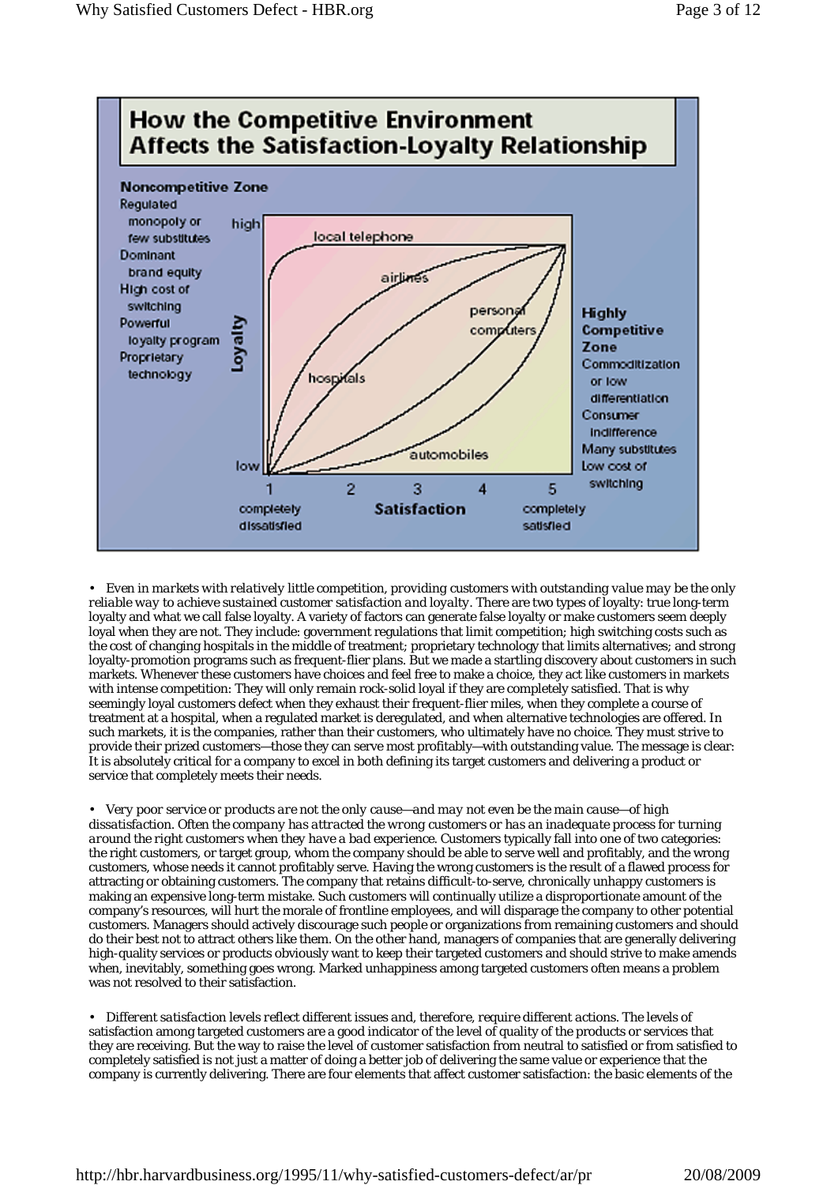

• *Even in markets with relatively little competition, providing customers with outstanding value may be the only reliable way to achieve sustained customer satisfaction and loyalty.* There are two types of loyalty: true long-term loyalty and what we call false loyalty. A variety of factors can generate false loyalty or make customers seem deeply loyal when they are not. They include: government regulations that limit competition; high switching costs such as the cost of changing hospitals in the middle of treatment; proprietary technology that limits alternatives; and strong loyalty-promotion programs such as frequent-flier plans. But we made a startling discovery about customers in such markets. Whenever these customers have choices and feel free to make a choice, they act like customers in markets with intense competition: They will only remain rock-solid loyal if they are completely satisfied. That is why seemingly loyal customers defect when they exhaust their frequent-flier miles, when they complete a course of treatment at a hospital, when a regulated market is deregulated, and when alternative technologies are offered. In such markets, it is the companies, rather than their customers, who ultimately have no choice. They must strive to provide their prized customers—those they can serve most profitably—with outstanding value. The message is clear: It is absolutely critical for a company to excel in both defining its target customers and delivering a product or service that completely meets their needs.

• *Very poor service or products are not the only cause—and may not even be the main cause—of high dissatisfaction. Often the company has attracted the wrong customers or has an inadequate process for turning around the right customers when they have a bad experience.* Customers typically fall into one of two categories: the right customers, or target group, whom the company should be able to serve well and profitably, and the wrong customers, whose needs it cannot profitably serve. Having the wrong customers is the result of a flawed process for attracting or obtaining customers. The company that retains difficult-to-serve, chronically unhappy customers is making an expensive long-term mistake. Such customers will continually utilize a disproportionate amount of the company's resources, will hurt the morale of frontline employees, and will disparage the company to other potential customers. Managers should actively discourage such people or organizations from remaining customers and should do their best not to attract others like them. On the other hand, managers of companies that are generally delivering high-quality services or products obviously want to keep their targeted customers and should strive to make amends when, inevitably, something goes wrong. Marked unhappiness among targeted customers often means a problem was not resolved to their satisfaction.

• *Different satisfaction levels reflect different issues and, therefore, require different actions.* The levels of satisfaction among targeted customers are a good indicator of the level of quality of the products or services that they are receiving. But the way to raise the level of customer satisfaction from neutral to satisfied or from satisfied to completely satisfied is not just a matter of doing a better job of delivering the same value or experience that the company is currently delivering. There are four elements that affect customer satisfaction: the basic elements of the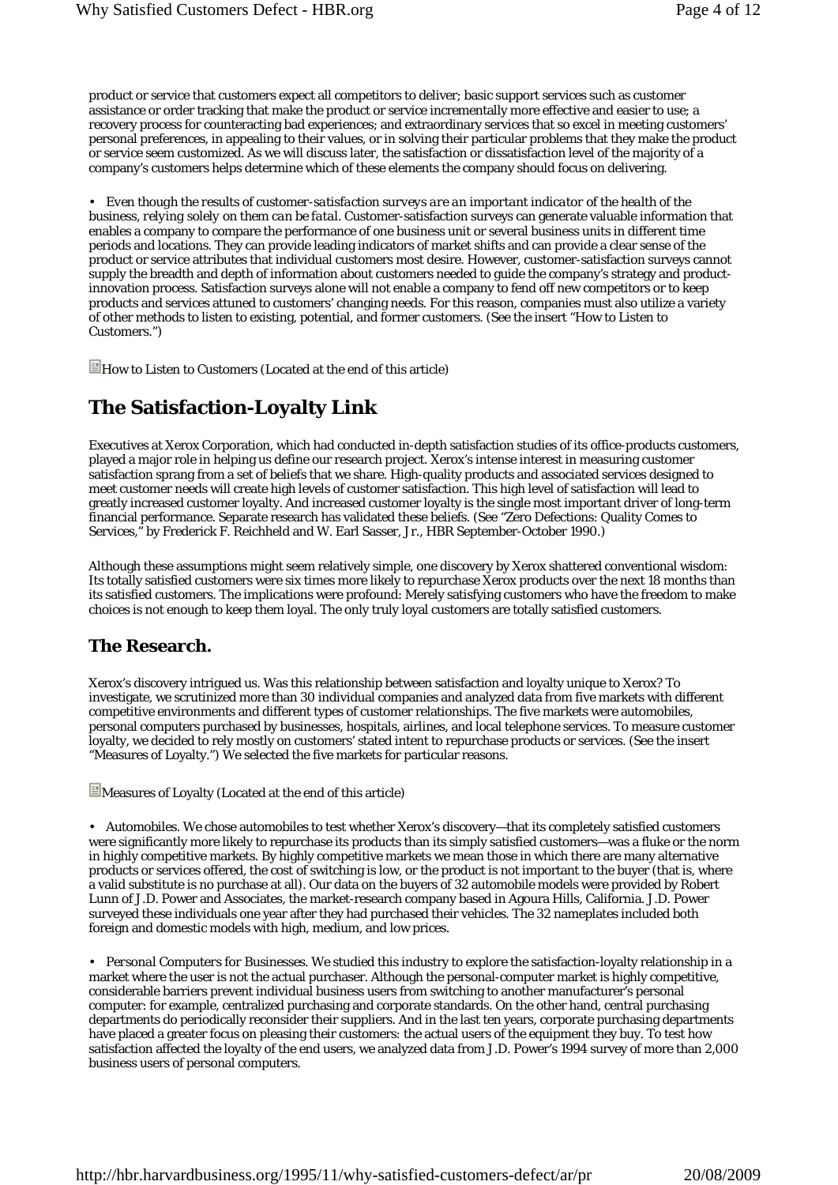product or service that customers expect all competitors to deliver; basic support services such as customer assistance or order tracking that make the product or service incrementally more effective and easier to use; a recovery process for counteracting bad experiences; and extraordinary services that so excel in meeting customers' personal preferences, in appealing to their values, or in solving their particular problems that they make the product or service seem customized. As we will discuss later, the satisfaction or dissatisfaction level of the majority of a company's customers helps determine which of these elements the company should focus on delivering.

• *Even though the results of customer-satisfaction surveys are an important indicator of the health of the business, relying solely on them can be fatal.* Customer-satisfaction surveys can generate valuable information that enables a company to compare the performance of one business unit or several business units in different time periods and locations. They can provide leading indicators of market shifts and can provide a clear sense of the product or service attributes that individual customers most desire. However, customer-satisfaction surveys cannot supply the breadth and depth of information about customers needed to guide the company's strategy and productinnovation process. Satisfaction surveys alone will not enable a company to fend off new competitors or to keep products and services attuned to customers' changing needs. For this reason, companies must also utilize a variety of other methods to listen to existing, potential, and former customers. (See the insert "How to Listen to Customers.")

How to Listen to Customers (Located at the end of this article)

### **The Satisfaction-Loyalty Link**

Executives at Xerox Corporation, which had conducted in-depth satisfaction studies of its office-products customers, played a major role in helping us define our research project. Xerox's intense interest in measuring customer satisfaction sprang from a set of beliefs that we share. High-quality products and associated services designed to meet customer needs will create high levels of customer satisfaction. This high level of satisfaction will lead to greatly increased customer loyalty. And increased customer loyalty is the single most important driver of long-term financial performance. Separate research has validated these beliefs. (See "Zero Defections: Quality Comes to Services," by Frederick F. Reichheld and W. Earl Sasser, Jr., HBR September-October 1990.)

Although these assumptions might seem relatively simple, one discovery by Xerox shattered conventional wisdom: Its totally satisfied customers were six times more likely to repurchase Xerox products over the next 18 months than its satisfied customers. The implications were profound: Merely satisfying customers who have the freedom to make choices is not enough to keep them loyal. The only truly loyal customers are totally satisfied customers.

#### **The Research.**

Xerox's discovery intrigued us. Was this relationship between satisfaction and loyalty unique to Xerox? To investigate, we scrutinized more than 30 individual companies and analyzed data from five markets with different competitive environments and different types of customer relationships. The five markets were automobiles, personal computers purchased by businesses, hospitals, airlines, and local telephone services. To measure customer loyalty, we decided to rely mostly on customers' stated intent to repurchase products or services. (See the insert "Measures of Loyalty.") We selected the five markets for particular reasons.

Measures of Loyalty (Located at the end of this article)

• *Automobiles.* We chose automobiles to test whether Xerox's discovery—that its completely satisfied customers were significantly more likely to repurchase its products than its simply satisfied customers—was a fluke or the norm in highly competitive markets. By highly competitive markets we mean those in which there are many alternative products or services offered, the cost of switching is low, or the product is not important to the buyer (that is, where a valid substitute is no purchase at all). Our data on the buyers of 32 automobile models were provided by Robert Lunn of J.D. Power and Associates, the market-research company based in Agoura Hills, California. J.D. Power surveyed these individuals one year after they had purchased their vehicles. The 32 nameplates included both foreign and domestic models with high, medium, and low prices.

• *Personal Computers for Businesses.* We studied this industry to explore the satisfaction-loyalty relationship in a market where the user is not the actual purchaser. Although the personal-computer market is highly competitive, considerable barriers prevent individual business users from switching to another manufacturer's personal computer: for example, centralized purchasing and corporate standards. On the other hand, central purchasing departments do periodically reconsider their suppliers. And in the last ten years, corporate purchasing departments have placed a greater focus on pleasing their customers: the actual users of the equipment they buy. To test how satisfaction affected the loyalty of the end users, we analyzed data from J.D. Power's 1994 survey of more than 2,000 business users of personal computers.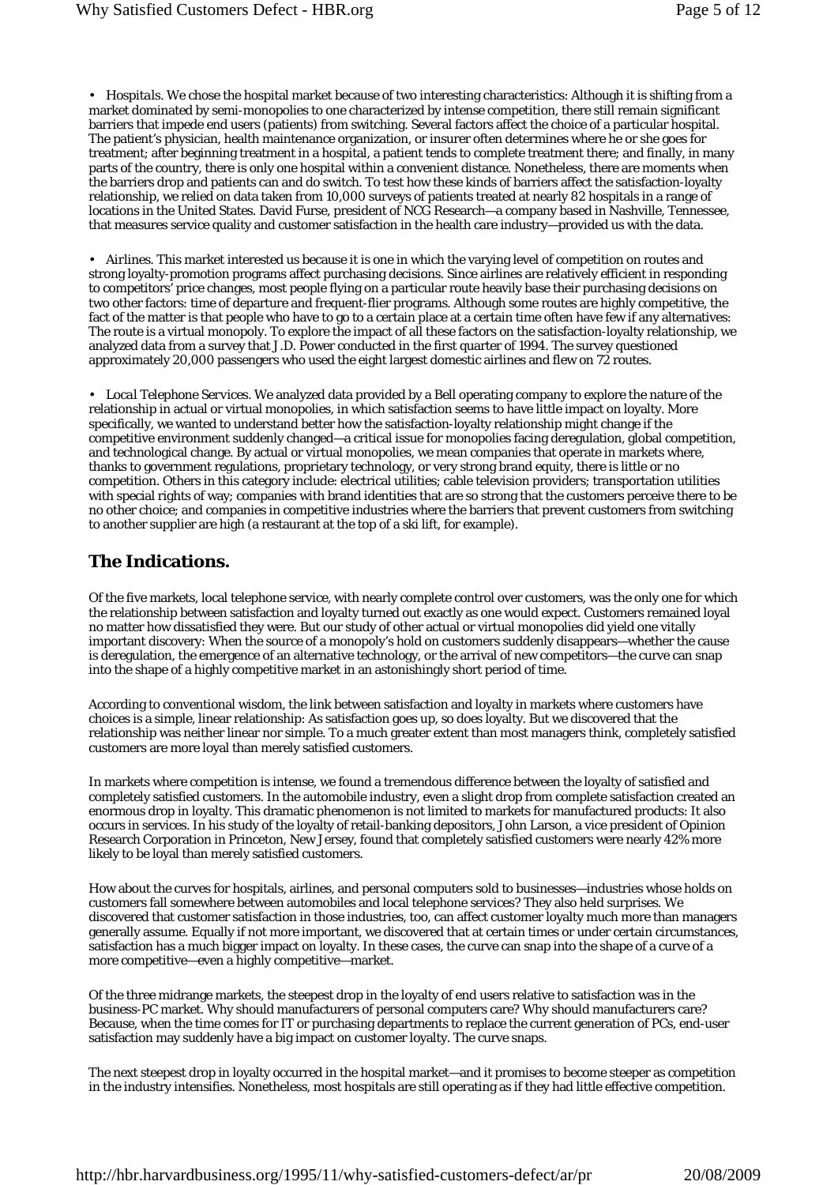• *Hospitals.* We chose the hospital market because of two interesting characteristics: Although it is shifting from a market dominated by semi-monopolies to one characterized by intense competition, there still remain significant barriers that impede end users (patients) from switching. Several factors affect the choice of a particular hospital. The patient's physician, health maintenance organization, or insurer often determines where he or she goes for treatment; after beginning treatment in a hospital, a patient tends to complete treatment there; and finally, in many parts of the country, there is only one hospital within a convenient distance. Nonetheless, there are moments when the barriers drop and patients can and do switch. To test how these kinds of barriers affect the satisfaction-loyalty relationship, we relied on data taken from 10,000 surveys of patients treated at nearly 82 hospitals in a range of locations in the United States. David Furse, president of NCG Research—a company based in Nashville, Tennessee, that measures service quality and customer satisfaction in the health care industry—provided us with the data.

• *Airlines.* This market interested us because it is one in which the varying level of competition on routes and strong loyalty-promotion programs affect purchasing decisions. Since airlines are relatively efficient in responding to competitors' price changes, most people flying on a particular route heavily base their purchasing decisions on two other factors: time of departure and frequent-flier programs. Although some routes are highly competitive, the fact of the matter is that people who have to go to a certain place at a certain time often have few if any alternatives: The route is a virtual monopoly. To explore the impact of all these factors on the satisfaction-loyalty relationship, we analyzed data from a survey that J.D. Power conducted in the first quarter of 1994. The survey questioned approximately 20,000 passengers who used the eight largest domestic airlines and flew on 72 routes.

• *Local Telephone Services.* We analyzed data provided by a Bell operating company to explore the nature of the relationship in actual or virtual monopolies, in which satisfaction seems to have little impact on loyalty. More specifically, we wanted to understand better how the satisfaction-loyalty relationship might change if the competitive environment suddenly changed—a critical issue for monopolies facing deregulation, global competition, and technological change. By actual or virtual monopolies, we mean companies that operate in markets where, thanks to government regulations, proprietary technology, or very strong brand equity, there is little or no competition. Others in this category include: electrical utilities; cable television providers; transportation utilities with special rights of way; companies with brand identities that are so strong that the customers perceive there to be no other choice; and companies in competitive industries where the barriers that prevent customers from switching to another supplier are high (a restaurant at the top of a ski lift, for example).

#### **The Indications.**

Of the five markets, local telephone service, with nearly complete control over customers, was the only one for which the relationship between satisfaction and loyalty turned out exactly as one would expect. Customers remained loyal no matter how dissatisfied they were. But our study of other actual or virtual monopolies did yield one vitally important discovery: When the source of a monopoly's hold on customers suddenly disappears—whether the cause is deregulation, the emergence of an alternative technology, or the arrival of new competitors—the curve can snap into the shape of a highly competitive market in an astonishingly short period of time.

According to conventional wisdom, the link between satisfaction and loyalty in markets where customers have choices is a simple, linear relationship: As satisfaction goes up, so does loyalty. But we discovered that the relationship was neither linear nor simple. To a much greater extent than most managers think, completely satisfied customers are more loyal than merely satisfied customers.

In markets where competition is intense, we found a tremendous difference between the loyalty of satisfied and completely satisfied customers. In the automobile industry, even a slight drop from complete satisfaction created an enormous drop in loyalty. This dramatic phenomenon is not limited to markets for manufactured products: It also occurs in services. In his study of the loyalty of retail-banking depositors, John Larson, a vice president of Opinion Research Corporation in Princeton, New Jersey, found that completely satisfied customers were nearly 42% more likely to be loyal than merely satisfied customers.

How about the curves for hospitals, airlines, and personal computers sold to businesses—industries whose holds on customers fall somewhere between automobiles and local telephone services? They also held surprises. We discovered that customer satisfaction in those industries, too, can affect customer loyalty much more than managers generally assume. Equally if not more important, we discovered that at certain times or under certain circumstances, satisfaction has a much bigger impact on loyalty. In these cases, the curve can snap into the shape of a curve of a more competitive—even a highly competitive—market.

Of the three midrange markets, the steepest drop in the loyalty of end users relative to satisfaction was in the business-PC market. Why should manufacturers of personal computers care? Why should manufacturers care? Because, when the time comes for IT or purchasing departments to replace the current generation of PCs, end-user satisfaction may suddenly have a big impact on customer loyalty. The curve snaps.

The next steepest drop in loyalty occurred in the hospital market—and it promises to become steeper as competition in the industry intensifies. Nonetheless, most hospitals are still operating as if they had little effective competition.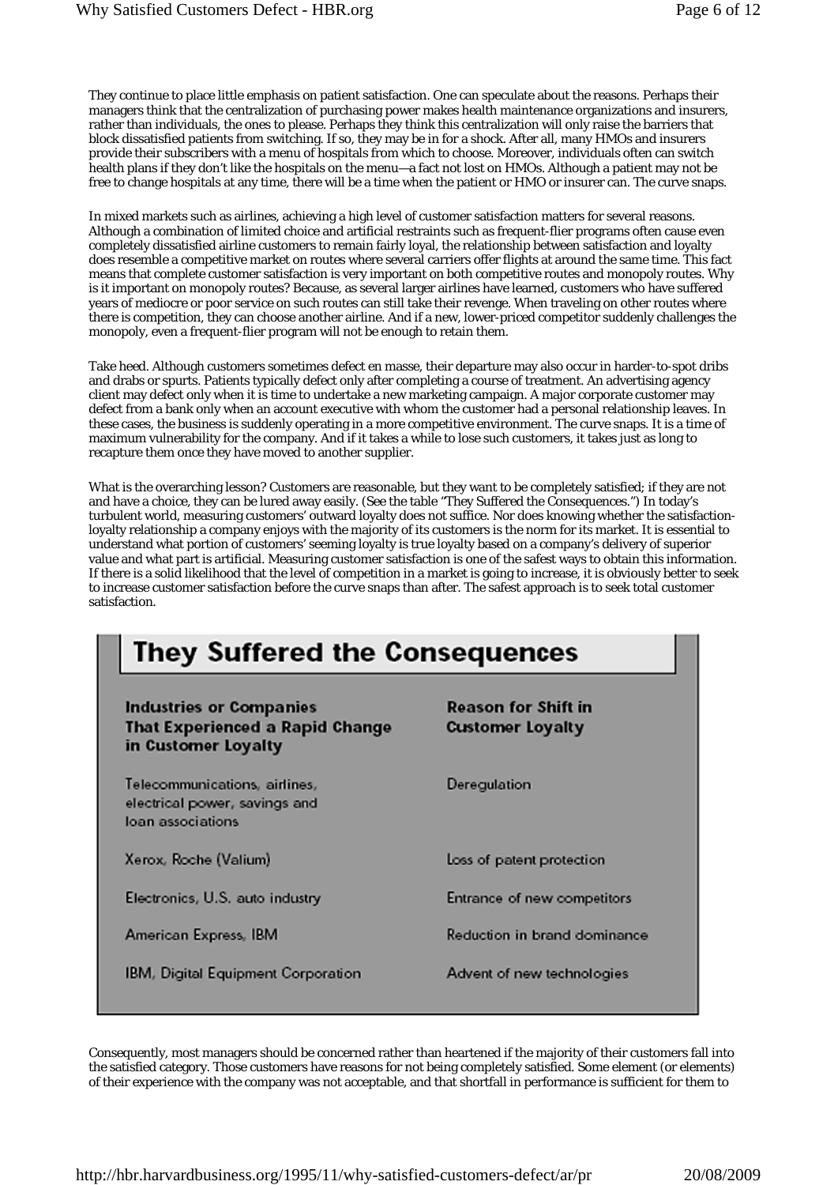They continue to place little emphasis on patient satisfaction. One can speculate about the reasons. Perhaps their managers think that the centralization of purchasing power makes health maintenance organizations and insurers, rather than individuals, the ones to please. Perhaps they think this centralization will only raise the barriers that block dissatisfied patients from switching. If so, they may be in for a shock. After all, many HMOs and insurers provide their subscribers with a menu of hospitals from which to choose. Moreover, individuals often can switch health plans if they don't like the hospitals on the menu—a fact not lost on HMOs. Although a patient may not be free to change hospitals at any time, there will be a time when the patient or HMO or insurer can. The curve snaps.

In mixed markets such as airlines, achieving a high level of customer satisfaction matters for several reasons. Although a combination of limited choice and artificial restraints such as frequent-flier programs often cause even completely dissatisfied airline customers to remain fairly loyal, the relationship between satisfaction and loyalty does resemble a competitive market on routes where several carriers offer flights at around the same time. This fact means that complete customer satisfaction is very important on both competitive routes and monopoly routes. Why is it important on monopoly routes? Because, as several larger airlines have learned, customers who have suffered years of mediocre or poor service on such routes can still take their revenge. When traveling on other routes where there is competition, they can choose another airline. And if a new, lower-priced competitor suddenly challenges the monopoly, even a frequent-flier program will not be enough to retain them.

Take heed. Although customers sometimes defect en masse, their departure may also occur in harder-to-spot dribs and drabs or spurts. Patients typically defect only after completing a course of treatment. An advertising agency client may defect only when it is time to undertake a new marketing campaign. A major corporate customer may defect from a bank only when an account executive with whom the customer had a personal relationship leaves. In these cases, the business is suddenly operating in a more competitive environment. The curve snaps. It is a time of maximum vulnerability for the company. And if it takes a while to lose such customers, it takes just as long to recapture them once they have moved to another supplier.

What is the overarching lesson? Customers are reasonable, but they want to be completely satisfied; if they are not and have a choice, they can be lured away easily. (See the table "They Suffered the Consequences.") In today's turbulent world, measuring customers' outward loyalty does not suffice. Nor does knowing whether the satisfactionloyalty relationship a company enjoys with the majority of its customers is the norm for its market. It is essential to understand what portion of customers' seeming loyalty is true loyalty based on a company's delivery of superior value and what part is artificial. Measuring customer satisfaction is one of the safest ways to obtain this information. If there is a solid likelihood that the level of competition in a market is going to increase, it is obviously better to seek to increase customer satisfaction before the curve snaps than after. The safest approach is to seek total customer satisfaction.

| <b>They Suffered the Consequences</b> |  |  |
|---------------------------------------|--|--|
|---------------------------------------|--|--|

| <b>Industries or Companies</b><br><b>That Experienced a Rapid Change</b><br>in Customer Loyalty | <b>Reason for Shift in</b><br><b>Customer Loyalty</b> |
|-------------------------------------------------------------------------------------------------|-------------------------------------------------------|
| Telecommunications, airlines,<br>electrical power, savings and<br>loan associations             | Deregulation                                          |
| Xerox, Roche (Valium)                                                                           | Loss of patent protection                             |
| Electronics, U.S. auto industry                                                                 | Entrance of new competitors                           |
| American Express, IBM                                                                           | Reduction in brand dominance                          |
| IBM, Digital Equipment Corporation                                                              | Advent of new technologies                            |

Consequently, most managers should be concerned rather than heartened if the majority of their customers fall into the satisfied category. Those customers have reasons for not being completely satisfied. Some element (or elements) of their experience with the company was not acceptable, and that shortfall in performance is sufficient for them to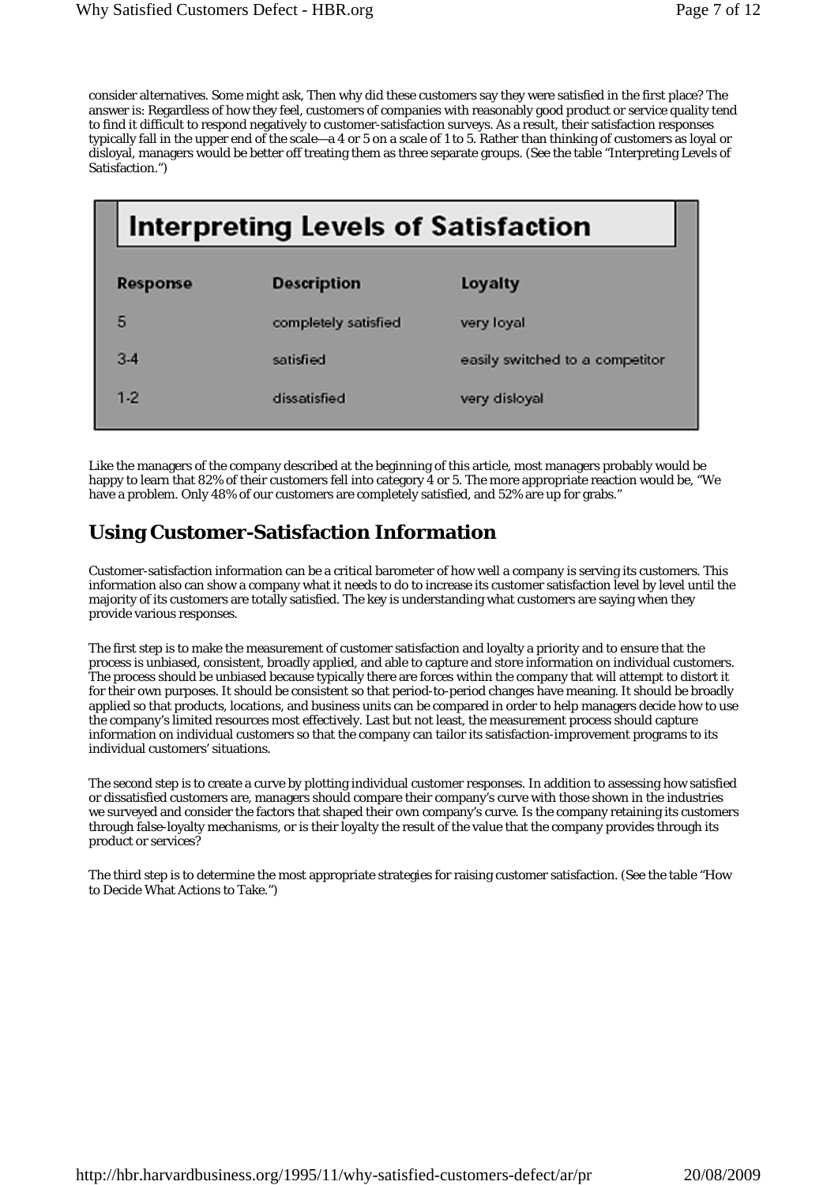consider alternatives. Some might ask, Then why did these customers say they were satisfied in the first place? The answer is: Regardless of how they feel, customers of companies with reasonably good product or service quality tend to find it difficult to respond negatively to customer-satisfaction surveys. As a result, their satisfaction responses typically fall in the upper end of the scale—a 4 or 5 on a scale of 1 to 5. Rather than thinking of customers as loyal or disloyal, managers would be better off treating them as three separate groups. (See the table "Interpreting Levels of Satisfaction.")

| <b>Interpreting Levels of Satisfaction</b> |                      |                                 |  |
|--------------------------------------------|----------------------|---------------------------------|--|
| Response                                   | <b>Description</b>   | Loyalty                         |  |
| 5                                          | completely satisfied | very loyal                      |  |
| $3-4$                                      | satisfied            | easily switched to a competitor |  |
| $1-2$                                      | dissatisfied         | very disloyal                   |  |

Like the managers of the company described at the beginning of this article, most managers probably would be happy to learn that 82% of their customers fell into category 4 or 5. The more appropriate reaction would be, "We have a problem. Only 48% of our customers are completely satisfied, and 52% are up for grabs."

## **Using Customer-Satisfaction Information**

Customer-satisfaction information can be a critical barometer of how well a company is serving its customers. This information also can show a company what it needs to do to increase its customer satisfaction level by level until the majority of its customers are totally satisfied. The key is understanding what customers are saying when they provide various responses.

The first step is to make the measurement of customer satisfaction and loyalty a priority and to ensure that the process is unbiased, consistent, broadly applied, and able to capture and store information on individual customers. The process should be unbiased because typically there are forces within the company that will attempt to distort it for their own purposes. It should be consistent so that period-to-period changes have meaning. It should be broadly applied so that products, locations, and business units can be compared in order to help managers decide how to use the company's limited resources most effectively. Last but not least, the measurement process should capture information on individual customers so that the company can tailor its satisfaction-improvement programs to its individual customers' situations.

The second step is to create a curve by plotting individual customer responses. In addition to assessing how satisfied or dissatisfied customers are, managers should compare their company's curve with those shown in the industries we surveyed and consider the factors that shaped their own company's curve. Is the company retaining its customers through false-loyalty mechanisms, or is their loyalty the result of the value that the company provides through its product or services?

The third step is to determine the most appropriate strategies for raising customer satisfaction. (See the table "How to Decide What Actions to Take.")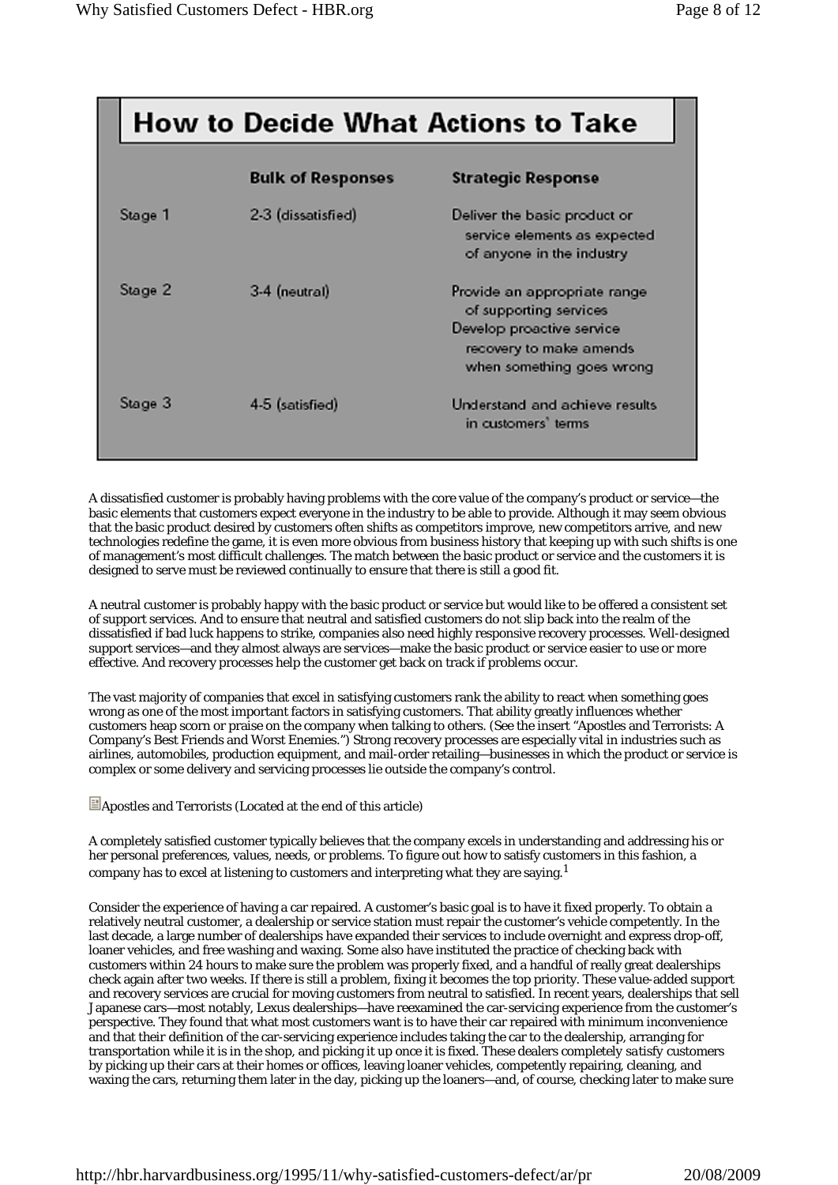# **How to Decide What Actions to Take**

|         | <b>Bulk of Responses</b> | <b>Strategic Response</b>                                                                                                                   |
|---------|--------------------------|---------------------------------------------------------------------------------------------------------------------------------------------|
| Stage 1 | 2-3 (dissatisfied)       | Deliver the basic product or<br>service elements as expected<br>of anyone in the industry                                                   |
| Stage 2 | 3-4 (neutral)            | Provide an appropriate range<br>of supporting services<br>Develop proactive service<br>recovery to make amends<br>when something goes wrong |
| Stage 3 | 4-5 (satisfied)          | Understand and achieve results<br>in customers' terms                                                                                       |

A dissatisfied customer is probably having problems with the core value of the company's product or service—the basic elements that customers expect everyone in the industry to be able to provide. Although it may seem obvious that the basic product desired by customers often shifts as competitors improve, new competitors arrive, and new technologies redefine the game, it is even more obvious from business history that keeping up with such shifts is one of management's most difficult challenges. The match between the basic product or service and the customers it is designed to serve must be reviewed continually to ensure that there is still a good fit.

A neutral customer is probably happy with the basic product or service but would like to be offered a consistent set of support services. And to ensure that neutral and satisfied customers do not slip back into the realm of the dissatisfied if bad luck happens to strike, companies also need highly responsive recovery processes. Well-designed support services—and they almost always are *services*—make the basic product or service easier to use or more effective. And recovery processes help the customer get back on track if problems occur.

The vast majority of companies that excel in satisfying customers rank the ability to react when something goes wrong as one of the most important factors in satisfying customers. That ability greatly influences whether customers heap scorn or praise on the company when talking to others. (See the insert "Apostles and Terrorists: A Company's Best Friends and Worst Enemies.") Strong recovery processes are especially vital in industries such as airlines, automobiles, production equipment, and mail-order retailing—businesses in which the product or service is complex or some delivery and servicing processes lie outside the company's control.

E Apostles and Terrorists (Located at the end of this article)

A completely satisfied customer typically believes that the company excels in understanding and addressing his or her personal preferences, values, needs, or problems. To figure out how to satisfy customers in this fashion, a company has to excel at listening to customers and interpreting what they are saying. $^1$ 

Consider the experience of having a car repaired. A customer's basic goal is to have it fixed properly. To obtain a relatively neutral customer, a dealership or service station must repair the customer's vehicle competently. In the last decade, a large number of dealerships have expanded their services to include overnight and express drop-off, loaner vehicles, and free washing and waxing. Some also have instituted the practice of checking back with customers within 24 hours to make sure the problem was properly fixed, and a handful of really great dealerships check again after two weeks. If there is still a problem, fixing it becomes the top priority. These value-added support and recovery services are crucial for moving customers from neutral to satisfied. In recent years, dealerships that sell Japanese cars—most notably, Lexus dealerships—have reexamined the car-servicing experience from the customer's perspective. They found that what most customers want is to have their car repaired with minimum inconvenience and that *their* definition of the car-servicing experience includes taking the car to the dealership, arranging for transportation while it is in the shop, and picking it up once it is fixed. These dealers *completely satisfy* customers by picking up their cars at their homes or offices, leaving loaner vehicles, competently repairing, cleaning, and waxing the cars, returning them later in the day, picking up the loaners—and, of course, checking later to make sure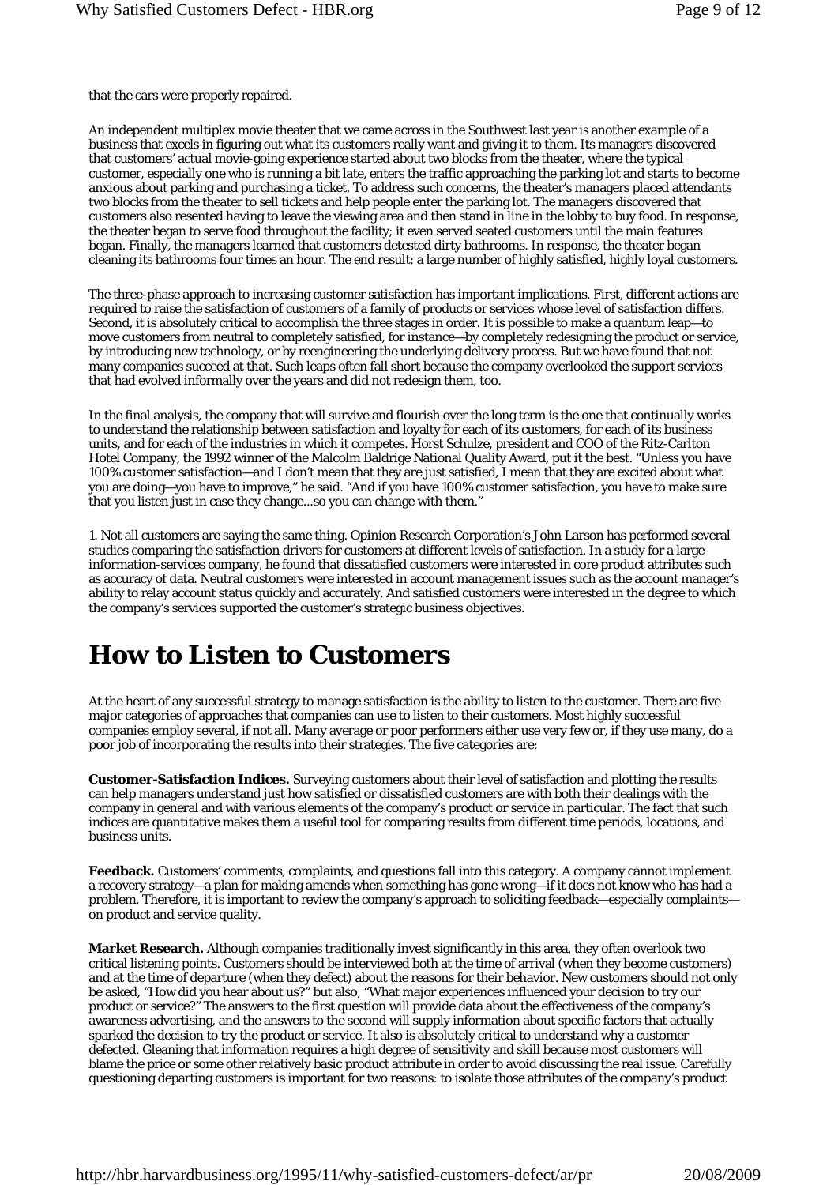that the cars were properly repaired.

An independent multiplex movie theater that we came across in the Southwest last year is another example of a business that excels in figuring out what its customers really want and giving it to them. Its managers discovered that customers' actual movie-going experience started about two blocks from the theater, where the typical customer, especially one who is running a bit late, enters the traffic approaching the parking lot and starts to become anxious about parking and purchasing a ticket. To address such concerns, the theater's managers placed attendants two blocks from the theater to sell tickets and help people enter the parking lot. The managers discovered that customers also resented having to leave the viewing area and then stand in line in the lobby to buy food. In response, the theater began to serve food throughout the facility; it even served seated customers until the main features began. Finally, the managers learned that customers detested dirty bathrooms. In response, the theater began cleaning its bathrooms four times an hour. The end result: a large number of highly satisfied, highly loyal customers.

The three-phase approach to increasing customer satisfaction has important implications. First, different actions are required to raise the satisfaction of customers of a family of products or services whose level of satisfaction differs. Second, it is absolutely critical to accomplish the three stages in order. It is possible to make a quantum leap—to move customers from neutral to completely satisfied, for instance—by completely redesigning the product or service, by introducing new technology, or by reengineering the underlying delivery process. But we have found that not many companies succeed at that. Such leaps often fall short because the company overlooked the support services that had evolved informally over the years and did not redesign them, too.

In the final analysis, the company that will survive and flourish over the long term is the one that continually works to understand the relationship between satisfaction and loyalty for each of its customers, for each of its business units, and for each of the industries in which it competes. Horst Schulze, president and COO of the Ritz-Carlton Hotel Company, the 1992 winner of the Malcolm Baldrige National Quality Award, put it the best. "Unless you have 100% customer satisfaction—and I don't mean that they are just satisfied, I mean that they are excited about what you are doing—you have to improve," he said. "And if you have 100% customer satisfaction, you have to make sure that you listen just in case they change...so you can change with them."

1. Not all customers are saying the same thing. Opinion Research Corporation's John Larson has performed several studies comparing the satisfaction drivers for customers at different levels of satisfaction. In a study for a large information-services company, he found that dissatisfied customers were interested in core product attributes such as accuracy of data. Neutral customers were interested in account management issues such as the account manager's ability to relay account status quickly and accurately. And satisfied customers were interested in the degree to which the company's services supported the customer's strategic business objectives.

## **How to Listen to Customers**

At the heart of any successful strategy to manage satisfaction is the ability to listen to the customer. There are five major categories of approaches that companies can use to listen to their customers. Most highly successful companies employ several, if not all. Many average or poor performers either use very few or, if they use many, do a poor job of incorporating the results into their strategies. The five categories are:

**Customer-Satisfaction Indices.** Surveying customers about their level of satisfaction and plotting the results can help managers understand just how satisfied or dissatisfied customers are with both their dealings with the company in general and with various elements of the company's product or service in particular. The fact that such indices are quantitative makes them a useful tool for comparing results from different time periods, locations, and business units.

**Feedback.** Customers' comments, complaints, and questions fall into this category. A company cannot implement a recovery strategy—a plan for making amends when something has gone wrong—if it does not know who has had a problem. Therefore, it is important to review the company's approach to soliciting feedback—especially complaints on product and service quality.

**Market Research.** Although companies traditionally invest significantly in this area, they often overlook two critical listening points. Customers should be interviewed both at the time of arrival (when they become customers) and at the time of departure (when they defect) about the reasons for their behavior. New customers should not only be asked, "How did you hear about us?" but also, "What major experiences influenced your decision to try our product or service?" The answers to the first question will provide data about the effectiveness of the company's awareness advertising, and the answers to the second will supply information about specific factors that actually sparked the decision to try the product or service. It also is absolutely critical to understand why a customer defected. Gleaning that information requires a high degree of sensitivity and skill because most customers will blame the price or some other relatively basic product attribute in order to avoid discussing the real issue. Carefully questioning departing customers is important for two reasons: to isolate those attributes of the company's product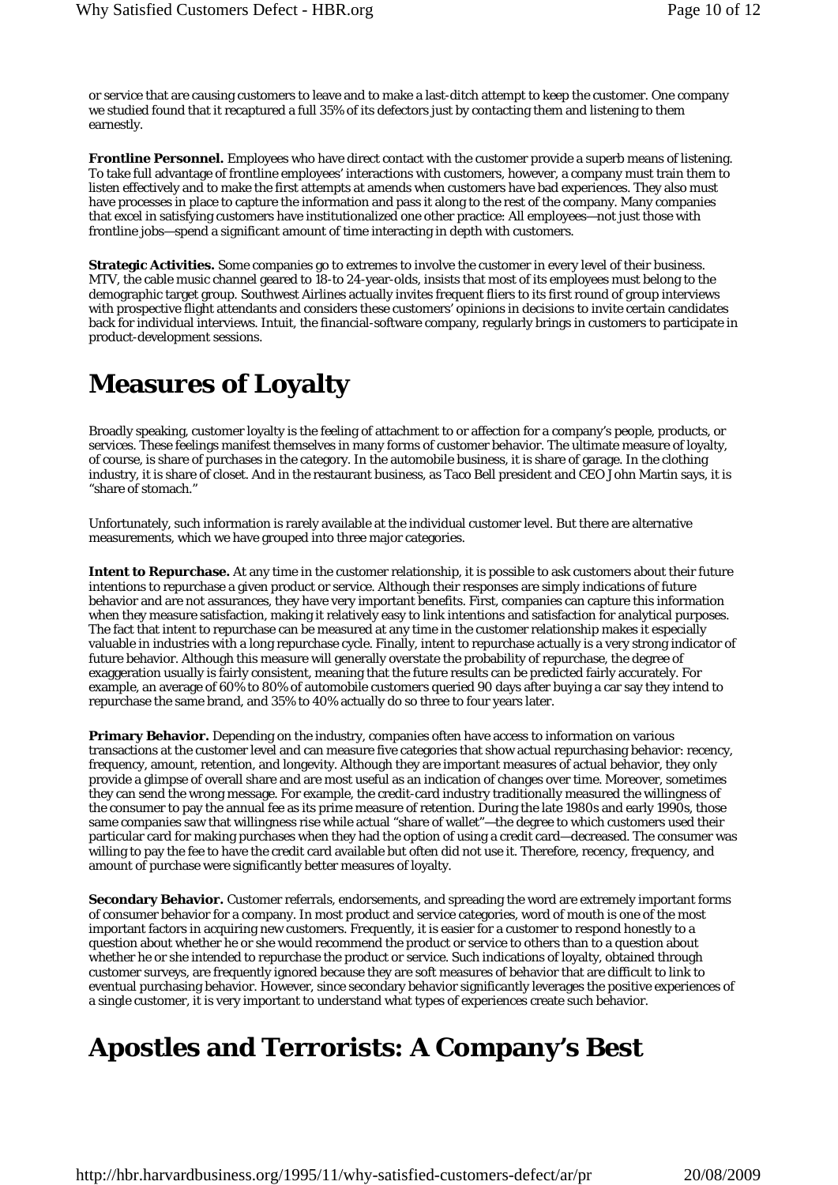or service that are causing customers to leave and to make a last-ditch attempt to keep the customer. One company we studied found that it recaptured a full 35% of its defectors just by contacting them and listening to them earnestly.

**Frontline Personnel.** Employees who have direct contact with the customer provide a superb means of listening. To take full advantage of frontline employees' interactions with customers, however, a company must train them to listen effectively and to make the first attempts at amends when customers have bad experiences. They also must have processes in place to capture the information and pass it along to the rest of the company. Many companies that excel in satisfying customers have institutionalized one other practice: All employees—not just those with frontline jobs—spend a significant amount of time interacting in depth with customers.

**Strategic Activities.** Some companies go to extremes to involve the customer in every level of their business. MTV, the cable music channel geared to 18-to 24-year-olds, insists that most of its employees must belong to the demographic target group. Southwest Airlines actually invites frequent fliers to its first round of group interviews with prospective flight attendants and considers these customers' opinions in decisions to invite certain candidates back for individual interviews. Intuit, the financial-software company, regularly brings in customers to participate in product-development sessions.

## **Measures of Loyalty**

Broadly speaking, customer loyalty is the feeling of attachment to or affection for a company's people, products, or services. These feelings manifest themselves in many forms of customer behavior. The ultimate measure of loyalty, of course, is share of purchases in the category. In the automobile business, it is share of garage. In the clothing industry, it is share of closet. And in the restaurant business, as Taco Bell president and CEO John Martin says, it is "share of stomach."

Unfortunately, such information is rarely available at the individual customer level. But there are alternative measurements, which we have grouped into three major categories.

**Intent to Repurchase.** At any time in the customer relationship, it is possible to ask customers about their future intentions to repurchase a given product or service. Although their responses are simply indications of future behavior and are not assurances, they have very important benefits. First, companies can capture this information when they measure satisfaction, making it relatively easy to link intentions and satisfaction for analytical purposes. The fact that intent to repurchase can be measured at any time in the customer relationship makes it especially valuable in industries with a long repurchase cycle. Finally, intent to repurchase actually is a very strong indicator of future behavior. Although this measure will generally overstate the probability of repurchase, the degree of exaggeration usually is fairly consistent, meaning that the future results can be predicted fairly accurately. For example, an average of 60% to 80% of automobile customers queried 90 days after buying a car say they intend to repurchase the same brand, and 35% to 40% actually do so three to four years later.

**Primary Behavior.** Depending on the industry, companies often have access to information on various transactions at the customer level and can measure five categories that show actual repurchasing behavior: recency, frequency, amount, retention, and longevity. Although they are important measures of actual behavior, they only provide a glimpse of overall share and are most useful as an indication of changes over time. Moreover, sometimes they can send the wrong message. For example, the credit-card industry traditionally measured the willingness of the consumer to pay the annual fee as its prime measure of retention. During the late 1980s and early 1990s, those same companies saw that willingness rise while actual "share of wallet"—the degree to which customers used their particular card for making purchases when they had the option of using a credit card—decreased. The consumer was willing to pay the fee to have the credit card available but often did not use it. Therefore, recency, frequency, and amount of purchase were significantly better measures of loyalty.

**Secondary Behavior.** Customer referrals, endorsements, and spreading the word are extremely important forms of consumer behavior for a company. In most product and service categories, word of mouth is one of the most important factors in acquiring new customers. Frequently, it is easier for a customer to respond honestly to a question about whether he or she would recommend the product or service to others than to a question about whether he or she intended to repurchase the product or service. Such indications of loyalty, obtained through customer surveys, are frequently ignored because they are *soft* measures of behavior that are difficult to link to eventual purchasing behavior. However, since secondary behavior significantly leverages the positive experiences of a single customer, it is very important to understand what types of experiences create such behavior.

## **Apostles and Terrorists: A Company's Best**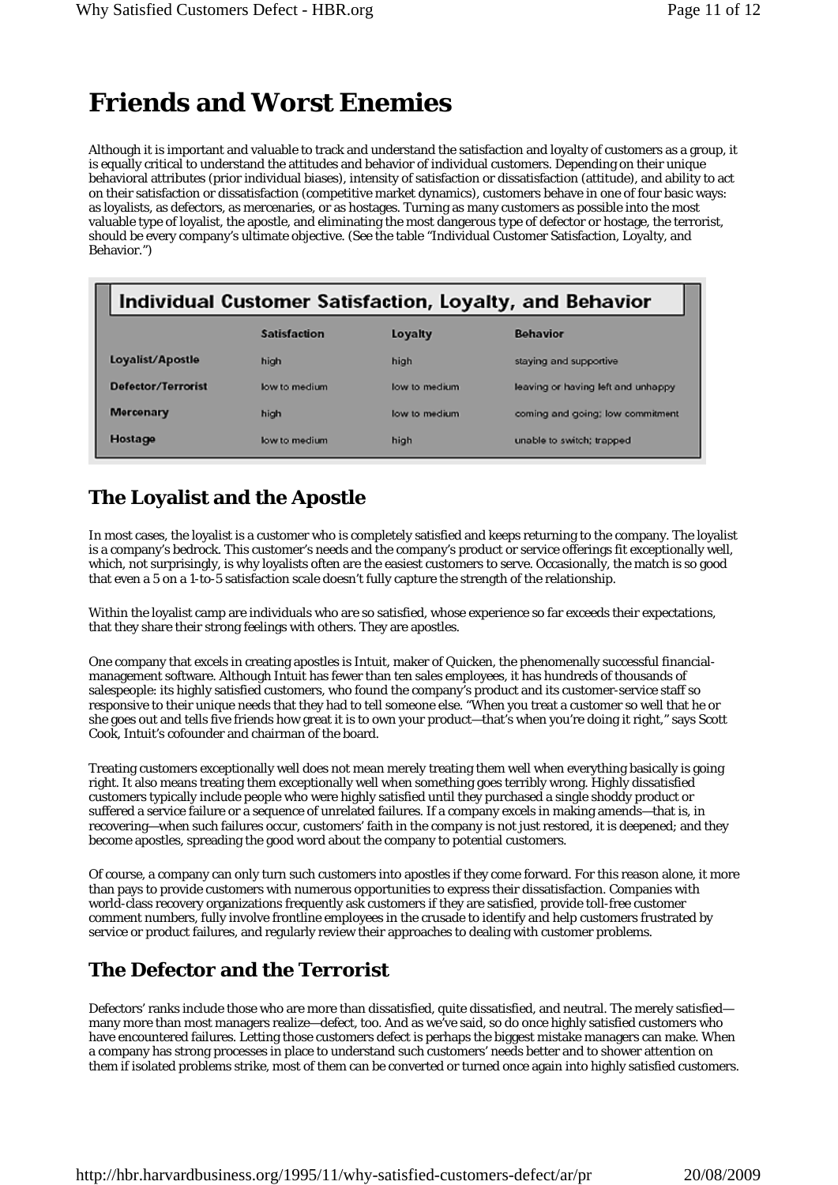## **Friends and Worst Enemies**

Although it is important and valuable to track and understand the satisfaction and loyalty of customers as a group, it is equally critical to understand the attitudes and behavior of individual customers. Depending on their unique behavioral attributes (prior individual biases), intensity of satisfaction or dissatisfaction (attitude), and ability to act on their satisfaction or dissatisfaction (competitive market dynamics), customers behave in one of four basic ways: as loyalists, as defectors, as mercenaries, or as hostages. Turning as many customers as possible into the most valuable type of loyalist, the apostle, and eliminating the most dangerous type of defector or hostage, the terrorist, should be every company's ultimate objective. (See the table "Individual Customer Satisfaction, Loyalty, and Behavior.")

| Individual Customer Satisfaction, Loyalty, and Behavior |               |                |                                    |  |
|---------------------------------------------------------|---------------|----------------|------------------------------------|--|
|                                                         | Satisfaction  | Loyalty        | <b>Behavior</b>                    |  |
| Loyalist/Apostle                                        | high          | high           | staying and supportive             |  |
| Defector/Terrorist                                      | low to medium | low to medium. | leaving or having left and unhappy |  |
| <b>Mercenary</b>                                        | high          | low to medium  | coming and going; low commitment   |  |
| Hostage                                                 | low to medium | high           | unable to switch; trapped          |  |

## **The Loyalist and the Apostle**

In most cases, the loyalist is a customer who is completely satisfied and keeps returning to the company. The loyalist is a company's bedrock. This customer's needs and the company's product or service offerings fit exceptionally well, which, not surprisingly, is why loyalists often are the easiest customers to serve. Occasionally, the match is so good that even a 5 on a 1-to-5 satisfaction scale doesn't fully capture the strength of the relationship.

Within the loyalist camp are individuals who are so satisfied, whose experience so far exceeds their expectations, that they share their strong feelings with others. They are apostles.

One company that excels in creating apostles is Intuit, maker of Quicken, the phenomenally successful financialmanagement software. Although Intuit has fewer than ten sales employees, it has hundreds of thousands of salespeople: its highly satisfied customers, who found the company's product and its customer-service staff so responsive to their unique needs that they had to tell someone else. "When you treat a customer so well that he or she goes out and tells five friends how great it is to own your product—that's when you're doing it right," says Scott Cook, Intuit's cofounder and chairman of the board.

Treating customers exceptionally well does not mean merely treating them well when everything basically is going right. It also means treating them exceptionally well when something goes terribly wrong. Highly dissatisfied customers typically include people who were highly satisfied until they purchased a single shoddy product or suffered a service failure or a sequence of unrelated failures. If a company excels in making amends—that is, in recovering—when such failures occur, customers' faith in the company is not just restored, it is deepened; and they become apostles, spreading the good word about the company to potential customers.

Of course, a company can only turn such customers into apostles if they come forward. For this reason alone, it more than pays to provide customers with numerous opportunities to express their dissatisfaction. Companies with world-class recovery organizations frequently ask customers if they are satisfied, provide toll-free customer comment numbers, fully involve frontline employees in the crusade to identify and help customers frustrated by service or product failures, and regularly review their approaches to dealing with customer problems.

## **The Defector and the Terrorist**

Defectors' ranks include those who are more than dissatisfied, quite dissatisfied, and neutral. The merely satisfied many more than most managers realize—defect, too. And as we've said, so do once highly satisfied customers who have encountered failures. Letting those customers defect is perhaps the biggest mistake managers can make. When a company has strong processes in place to understand such customers' needs better and to shower attention on them if isolated problems strike, most of them can be converted or turned once again into highly satisfied customers.